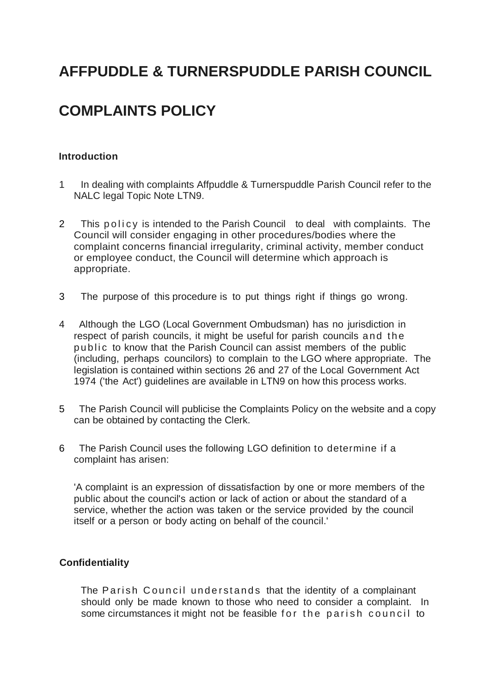# **AFFPUDDLE & TURNERSPUDDLE PARISH COUNCIL**

# **COMPLAINTS POLICY**

#### **Introduction**

- 1 In dealing with complaints Affpuddle & Turnerspuddle Parish Council refer to the NALC legal Topic Note LTN9.
- 2 This policy is intended to the Parish Council to deal with complaints. The Council will consider engaging in other procedures/bodies where the complaint concerns financial irregularity, criminal activity, member conduct or employee conduct, the Council will determine which approach is appropriate.
- 3 The purpose of this procedure is to put things right if things go wrong.
- 4 Although the LGO (Local Government Ombudsman) has no jurisdiction in respect of parish councils, it might be useful for parish councils and the public to know that the Parish Council can assist members of the public (including, perhaps councilors) to complain to the LGO where appropriate. The legislation is contained within sections 26 and 27 of the Local Government Act 1974 ('the Act') guidelines are available in LTN9 on how this process works.
- 5 The Parish Council will publicise the Complaints Policy on the website and a copy can be obtained by contacting the Clerk.
- 6 The Parish Council uses the following LGO definition to determine if a complaint has arisen:

'A complaint is an expression of dissatisfaction by one or more members of the public about the council's action or lack of action or about the standard of a service, whether the action was taken or the service provided by the council itself or a person or body acting on behalf of the council.'

#### **Confidentiality**

The Parish Council understands that the identity of a complainant should only be made known to those who need to consider a complaint. In some circumstances it might not be feasible for the parish council to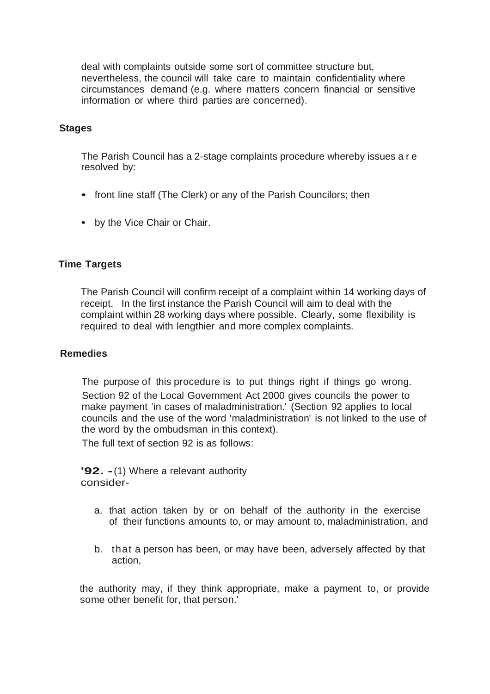deal with complaints outside some sort of committee structure but, nevertheless, the council will take care to maintain confidentiality where circumstances demand (e.g. where matters concern financial or sensitive information or where third parties are concerned).

#### **Stages**

The Parish Council has a 2-stage complaints procedure whereby issues a r e resolved by:

- front line staff (The Clerk) or any of the Parish Councilors; then
- by the Vice Chair or Chair.

#### **Time Targets**

The Parish Council will confirm receipt of a complaint within 14 working days of receipt. In the first instance the Parish Council will aim to deal with the complaint within 28 working days where possible. Clearly, some flexibility is required to deal with lengthier and more complex complaints.

#### **Remedies**

The purpose of this procedure is to put things right if things go wrong. Section 92 of the Local Government Act 2000 gives councils the power to make payment 'in cases of maladministration.' (Section 92 applies to local councils and the use of the word 'maladministration' is not linked to the use of the word by the ombudsman in this context).

The full text of section 92 is as follows:

**'92. -**(1) Where a relevant authority consider-

- a. that action taken by or on behalf of the authority in the exercise of their functions amounts to, or may amount to, maladministration, and
- b. that a person has been, or may have been, adversely affected by that action,

the authority may, if they think appropriate, make a payment to, or provide some other benefit for, that person.'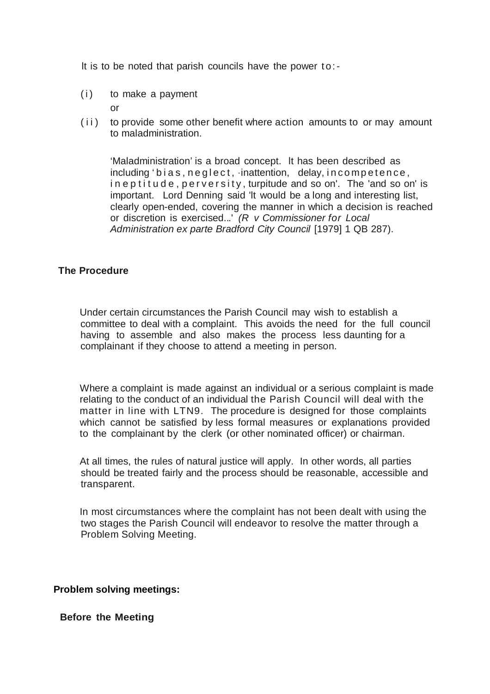It is to be noted that parish councils have the power to:-

 $(i)$  to make a payment

or

(ii) to provide some other benefit where action amounts to or may amount to maladministration.

'Maladministration' is a broad concept. lt has been described as including 'bias, neglect, inattention, delay, incompetence, in eptitude, perversity, turpitude and so on'. The 'and so on' is important. Lord Denning said 'lt would be a long and interesting list, clearly open-ended, covering the manner in which a decision is reached or discretion is exercised...' *(R v Commissioner for Local Administration ex parte Bradford City Council* [1979] 1 QB 287).

### **The Procedure**

Under certain circumstances the Parish Council may wish to establish a committee to deal with a complaint. This avoids the need for the full council having to assemble and also makes the process less daunting for a complainant if they choose to attend a meeting in person.

Where a complaint is made against an individual or a serious complaint is made relating to the conduct of an individual the Parish Council will deal with the matter in line with LTN9. The procedure is designed for those complaints which cannot be satisfied by less formal measures or explanations provided to the complainant by the clerk (or other nominated officer) or chairman.

At all times, the rules of natural justice will apply. In other words, all parties should be treated fairly and the process should be reasonable, accessible and transparent.

In most circumstances where the complaint has not been dealt with using the two stages the Parish Council will endeavor to resolve the matter through a Problem Solving Meeting.

**Problem solving meetings:**

**Before the Meeting**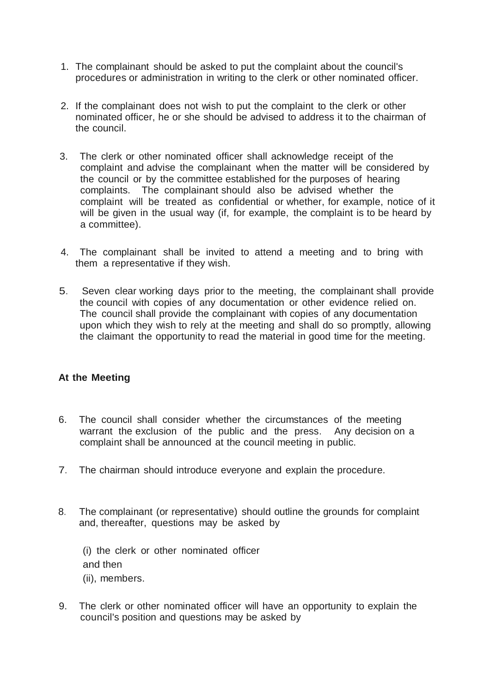- 1. The complainant should be asked to put the complaint about the council's procedures or administration in writing to the clerk or other nominated officer.
- 2. If the complainant does not wish to put the complaint to the clerk or other nominated officer, he or she should be advised to address it to the chairman of the council.
- 3. The clerk or other nominated officer shall acknowledge receipt of the complaint and advise the complainant when the matter will be considered by the council or by the committee established for the purposes of hearing complaints. The complainant should also be advised whether the complaint will be treated as confidential or whether, for example, notice of it will be given in the usual way (if, for example, the complaint is to be heard by a committee).
- 4. The complainant shall be invited to attend a meeting and to bring with them a representative if they wish.
- 5. Seven clear working days prior to the meeting, the complainant shall provide the council with copies of any documentation or other evidence relied on. The council shall provide the complainant with copies of any documentation upon which they wish to rely at the meeting and shall do so promptly, allowing the claimant the opportunity to read the material in good time for the meeting.

## **At the Meeting**

- 6. The council shall consider whether the circumstances of the meeting warrant the exclusion of the public and the press. Any decision on a complaint shall be announced at the council meeting in public.
- 7. The chairman should introduce everyone and explain the procedure.
- 8. The complainant (or representative) should outline the grounds for complaint and, thereafter, questions may be asked by

(i) the clerk or other nominated officer and then (ii), members.

9. The clerk or other nominated officer will have an opportunity to explain the council's position and questions may be asked by